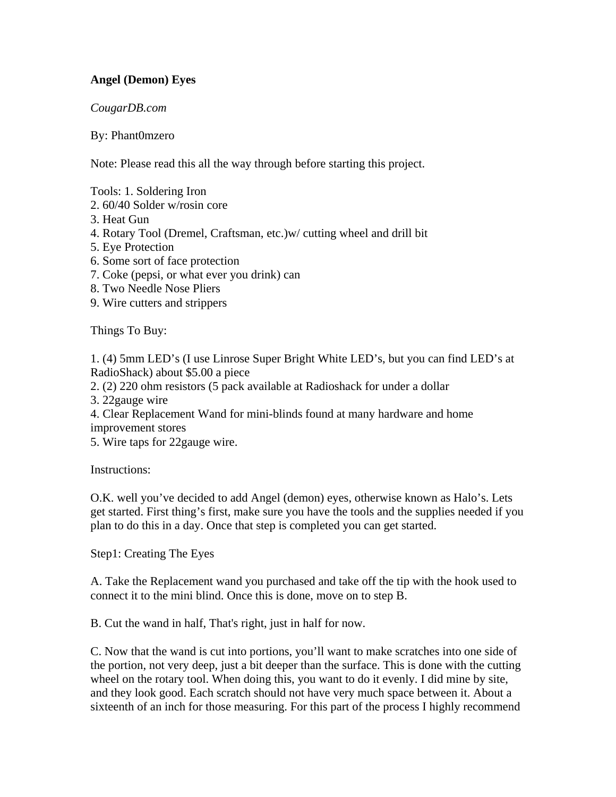## **Angel (Demon) Eyes**

## *CougarDB.com*

## By: Phant0mzero

Note: Please read this all the way through before starting this project.

Tools: 1. Soldering Iron

- 2. 60/40 Solder w/rosin core
- 3. Heat Gun
- 4. Rotary Tool (Dremel, Craftsman, etc.)w/ cutting wheel and drill bit
- 5. Eye Protection
- 6. Some sort of face protection
- 7. Coke (pepsi, or what ever you drink) can
- 8. Two Needle Nose Pliers
- 9. Wire cutters and strippers

Things To Buy:

1. (4) 5mm LED's (I use Linrose Super Bright White LED's, but you can find LED's at RadioShack) about \$5.00 a piece

2. (2) 220 ohm resistors (5 pack available at Radioshack for under a dollar

3. 22gauge wire

4. Clear Replacement Wand for mini-blinds found at many hardware and home improvement stores

5. Wire taps for 22gauge wire.

Instructions:

O.K. well you've decided to add Angel (demon) eyes, otherwise known as Halo's. Lets get started. First thing's first, make sure you have the tools and the supplies needed if you plan to do this in a day. Once that step is completed you can get started.

Step1: Creating The Eyes

A. Take the Replacement wand you purchased and take off the tip with the hook used to connect it to the mini blind. Once this is done, move on to step B.

B. Cut the wand in half, That's right, just in half for now.

C. Now that the wand is cut into portions, you'll want to make scratches into one side of the portion, not very deep, just a bit deeper than the surface. This is done with the cutting wheel on the rotary tool. When doing this, you want to do it evenly. I did mine by site, and they look good. Each scratch should not have very much space between it. About a sixteenth of an inch for those measuring. For this part of the process I highly recommend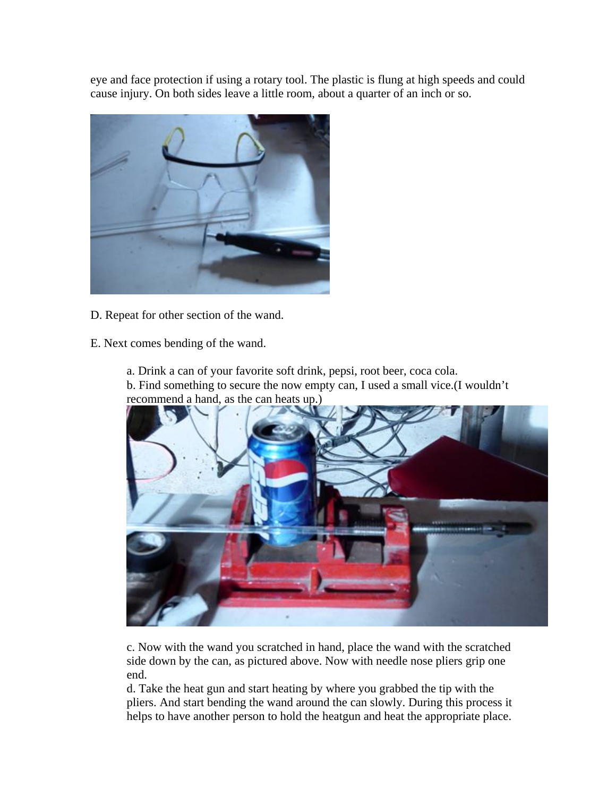eye and face protection if using a rotary tool. The plastic is flung at high speeds and could cause injury. On both sides leave a little room, about a quarter of an inch or so.



D. Repeat for other section of the wand.

E. Next comes bending of the wand.

- a. Drink a can of your favorite soft drink, pepsi, root beer, coca cola.
- b. Find something to secure the now empty can, I used a small vice.(I wouldn't recommend a hand, as the can heats up.)



c. Now with the wand you scratched in hand, place the wand with the scratched side down by the can, as pictured above. Now with needle nose pliers grip one end.

d. Take the heat gun and start heating by where you grabbed the tip with the pliers. And start bending the wand around the can slowly. During this process it helps to have another person to hold the heatgun and heat the appropriate place.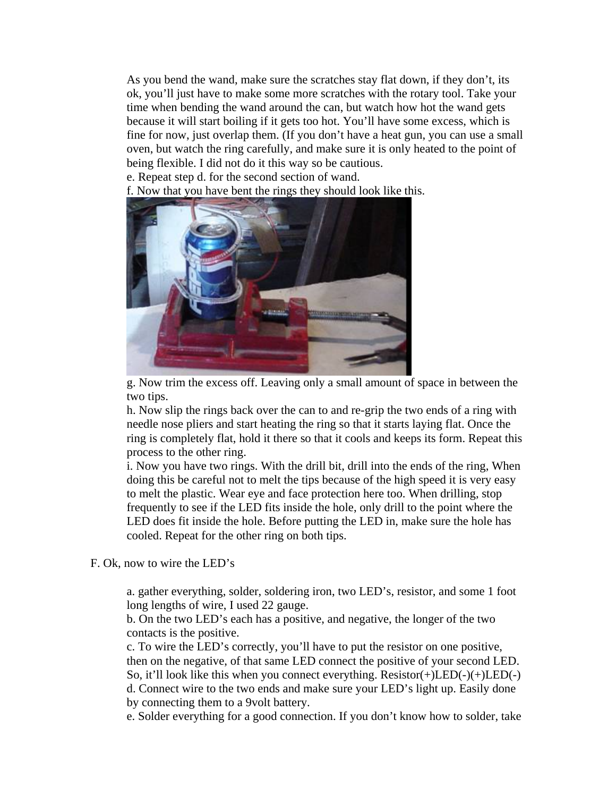As you bend the wand, make sure the scratches stay flat down, if they don't, its ok, you'll just have to make some more scratches with the rotary tool. Take your time when bending the wand around the can, but watch how hot the wand gets because it will start boiling if it gets too hot. You'll have some excess, which is fine for now, just overlap them. (If you don't have a heat gun, you can use a small oven, but watch the ring carefully, and make sure it is only heated to the point of being flexible. I did not do it this way so be cautious.

e. Repeat step d. for the second section of wand.

f. Now that you have bent the rings they should look like this.



g. Now trim the excess off. Leaving only a small amount of space in between the two tips.

h. Now slip the rings back over the can to and re-grip the two ends of a ring with needle nose pliers and start heating the ring so that it starts laying flat. Once the ring is completely flat, hold it there so that it cools and keeps its form. Repeat this process to the other ring.

i. Now you have two rings. With the drill bit, drill into the ends of the ring, When doing this be careful not to melt the tips because of the high speed it is very easy to melt the plastic. Wear eye and face protection here too. When drilling, stop frequently to see if the LED fits inside the hole, only drill to the point where the LED does fit inside the hole. Before putting the LED in, make sure the hole has cooled. Repeat for the other ring on both tips.

F. Ok, now to wire the LED's

a. gather everything, solder, soldering iron, two LED's, resistor, and some 1 foot long lengths of wire, I used 22 gauge.

b. On the two LED's each has a positive, and negative, the longer of the two contacts is the positive.

c. To wire the LED's correctly, you'll have to put the resistor on one positive, then on the negative, of that same LED connect the positive of your second LED. So, it'll look like this when you connect everything.  $Resistor(+)LED(-)(+) LED(-)$ d. Connect wire to the two ends and make sure your LED's light up. Easily done by connecting them to a 9volt battery.

e. Solder everything for a good connection. If you don't know how to solder, take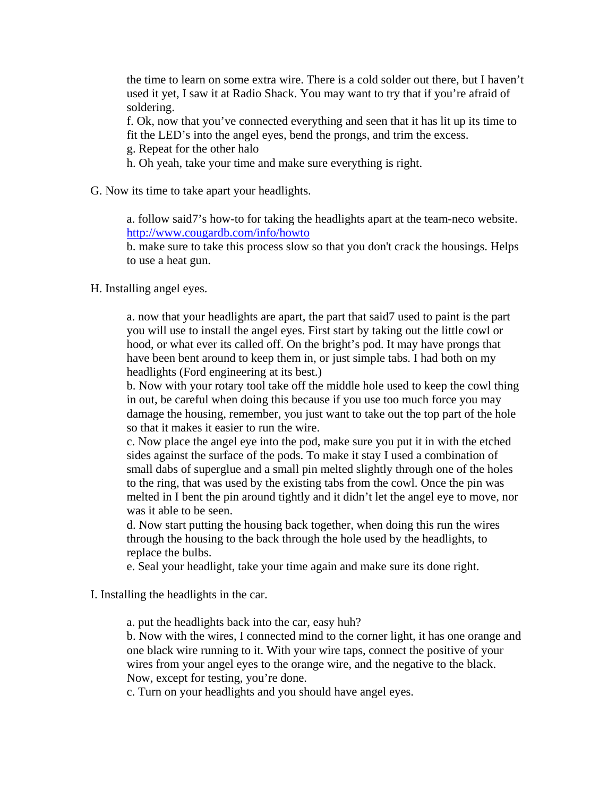the time to learn on some extra wire. There is a cold solder out there, but I haven't used it yet, I saw it at Radio Shack. You may want to try that if you're afraid of soldering.

f. Ok, now that you've connected everything and seen that it has lit up its time to fit the LED's into the angel eyes, bend the prongs, and trim the excess.

g. Repeat for the other halo

h. Oh yeah, take your time and make sure everything is right.

G. Now its time to take apart your headlights.

a. follow said7's how-to for taking the headlights apart at the team-neco website. http://www.cougardb.com/info/howto

b. make sure to take this process slow so that you don't crack the housings. Helps to use a heat gun.

H. Installing angel eyes.

a. now that your headlights are apart, the part that said7 used to paint is the part you will use to install the angel eyes. First start by taking out the little cowl or hood, or what ever its called off. On the bright's pod. It may have prongs that have been bent around to keep them in, or just simple tabs. I had both on my headlights (Ford engineering at its best.)

b. Now with your rotary tool take off the middle hole used to keep the cowl thing in out, be careful when doing this because if you use too much force you may damage the housing, remember, you just want to take out the top part of the hole so that it makes it easier to run the wire.

c. Now place the angel eye into the pod, make sure you put it in with the etched sides against the surface of the pods. To make it stay I used a combination of small dabs of superglue and a small pin melted slightly through one of the holes to the ring, that was used by the existing tabs from the cowl. Once the pin was melted in I bent the pin around tightly and it didn't let the angel eye to move, nor was it able to be seen.

d. Now start putting the housing back together, when doing this run the wires through the housing to the back through the hole used by the headlights, to replace the bulbs.

e. Seal your headlight, take your time again and make sure its done right.

I. Installing the headlights in the car.

a. put the headlights back into the car, easy huh?

b. Now with the wires, I connected mind to the corner light, it has one orange and one black wire running to it. With your wire taps, connect the positive of your wires from your angel eyes to the orange wire, and the negative to the black. Now, except for testing, you're done.

c. Turn on your headlights and you should have angel eyes.